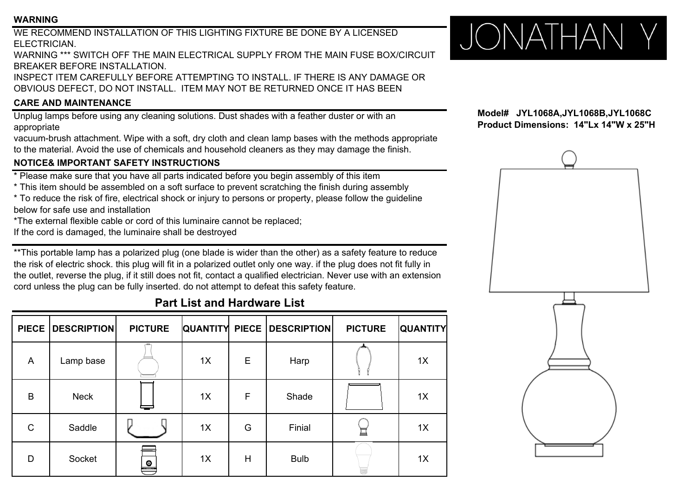#### **WARNING**

WE RECOMMEND INSTALLATION OF THIS LIGHTING FIXTURE BE DONE BY A LICENSEDELECTRICIAN.

WARNING \*\*\* SWITCH OFF THE MAIN ELECTRICAL SUPPLY FROM THE MAIN FUSE BOX/CIRCUITBREAKER BEFORE INSTALLATION.

INSPECT ITEM CAREFULLY BEFORE ATTEMPTING TO INSTALL. IF THERE IS ANY DAMAGE OROBVIOUS DEFECT, DO NOT INSTALL. ITEM MAY NOT BE RETURNED ONCE IT HAS BEEN

# **CARE AND MAINTENANCE**

Unplug lamps before using any cleaning solutions. Dust shades with a feather duster or with an appropriate

vacuum-brush attachment. Wipe with a soft, dry cloth and clean lamp bases with the methods appropriate to the material. Avoid the use of chemicals and household cleaners as they may damage the finish.

## **NOTICE& IMPORTANT SAFETY INSTRUCTIONS**

 $^\star$  Please make sure that you have all parts indicated before you begin assembly of this item

\* This item should be assembled on a soft surface to prevent scratching the finish during assembly

\* To reduce the risk of fire, electrical shock or injury to persons or property, please follow the guideline below for safe use and installation

\*The external flexible cable or cord of this luminaire cannot be replaced;

If the cord is damaged, the luminaire shall be destroyed

\*\*This portable lamp has a polarized plug (one blade is wider than the other) as a safety feature to reduce the risk of electric shock. this plug will fit in a polarized outlet only one way. if the plug does not fit fully in the outlet, reverse the plug, if it still does not fit, contact a qualified electrician. Never use with an extension cord unless the plug can be fully inserted. do not attempt to defeat this safety feature.

# **Part List and Hardware List**

|   | PIECE DESCRIPTION | <b>PICTURE</b>              |    |   | <b>QUANTITY PIECE DESCRIPTION</b> | <b>PICTURE</b> | <b>QUANTITY</b> |
|---|-------------------|-----------------------------|----|---|-----------------------------------|----------------|-----------------|
| A | Lamp base         |                             | 1X | E | Harp                              |                | 1X              |
| B | <b>Neck</b>       |                             | 1X | F | Shade                             |                | 1X              |
| C | Saddle            |                             | 1X | G | Finial                            | 亘              | 1X              |
| D | Socket            | $\bullet$<br><b>STITUTE</b> | 1X | H | <b>Bulb</b>                       |                | 1X              |



**Model# JYL1068A,JYL1068B,JYL1068C Product Dimensions: 14"Lx 14"W <sup>x</sup> 25"H Product Dimensions: 14"Lx 14"W x**